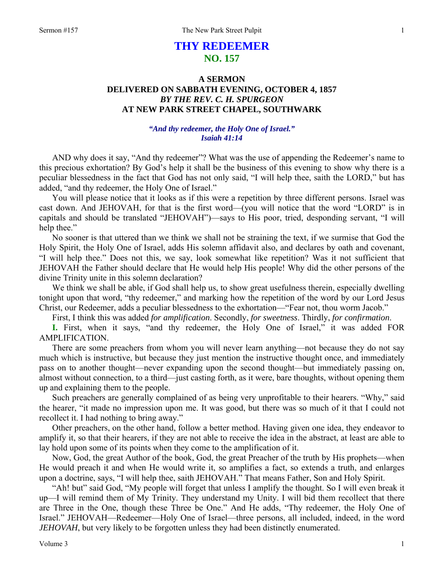# **THY REDEEMER NO. 157**

# **A SERMON DELIVERED ON SABBATH EVENING, OCTOBER 4, 1857**  *BY THE REV. C. H. SPURGEON*  **AT NEW PARK STREET CHAPEL, SOUTHWARK**

## *"And thy redeemer, the Holy One of Israel." Isaiah 41:14*

AND why does it say, "And thy redeemer"? What was the use of appending the Redeemer's name to this precious exhortation? By God's help it shall be the business of this evening to show why there is a peculiar blessedness in the fact that God has not only said, "I will help thee, saith the LORD," but has added, "and thy redeemer, the Holy One of Israel."

You will please notice that it looks as if this were a repetition by three different persons. Israel was cast down. And JEHOVAH, for that is the first word—(you will notice that the word "LORD" is in capitals and should be translated "JEHOVAH")—says to His poor, tried, desponding servant, "I will help thee."

No sooner is that uttered than we think we shall not be straining the text, if we surmise that God the Holy Spirit, the Holy One of Israel, adds His solemn affidavit also, and declares by oath and covenant, "I will help thee." Does not this, we say, look somewhat like repetition? Was it not sufficient that JEHOVAH the Father should declare that He would help His people! Why did the other persons of the divine Trinity unite in this solemn declaration?

We think we shall be able, if God shall help us, to show great usefulness therein, especially dwelling tonight upon that word, "thy redeemer," and marking how the repetition of the word by our Lord Jesus Christ, our Redeemer, adds a peculiar blessedness to the exhortation—"Fear not, thou worm Jacob."

First, I think this was added *for amplification*. Secondly, *for sweetness*. Thirdly, *for confirmation*.

**I.** First, when it says, "and thy redeemer, the Holy One of Israel," it was added FOR AMPLIFICATION.

There are some preachers from whom you will never learn anything—not because they do not say much which is instructive, but because they just mention the instructive thought once, and immediately pass on to another thought—never expanding upon the second thought—but immediately passing on, almost without connection, to a third—just casting forth, as it were, bare thoughts, without opening them up and explaining them to the people.

Such preachers are generally complained of as being very unprofitable to their hearers. "Why," said the hearer, "it made no impression upon me. It was good, but there was so much of it that I could not recollect it. I had nothing to bring away."

Other preachers, on the other hand, follow a better method. Having given one idea, they endeavor to amplify it, so that their hearers, if they are not able to receive the idea in the abstract, at least are able to lay hold upon some of its points when they come to the amplification of it.

Now, God, the great Author of the book, God, the great Preacher of the truth by His prophets—when He would preach it and when He would write it, so amplifies a fact, so extends a truth, and enlarges upon a doctrine, says, "I will help thee, saith JEHOVAH." That means Father, Son and Holy Spirit.

"Ah! but" said God, "My people will forget that unless I amplify the thought. So I will even break it up—I will remind them of My Trinity. They understand my Unity. I will bid them recollect that there are Three in the One, though these Three be One." And He adds, "Thy redeemer, the Holy One of Israel." JEHOVAH—Redeemer—Holy One of Israel—three persons, all included, indeed, in the word *JEHOVAH*, but very likely to be forgotten unless they had been distinctly enumerated.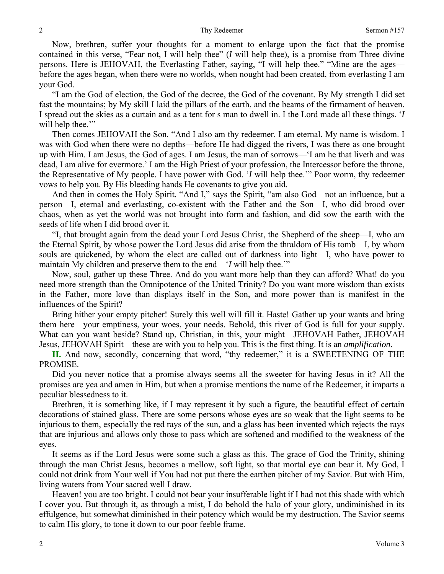Now, brethren, suffer your thoughts for a moment to enlarge upon the fact that the promise contained in this verse, "Fear not, I will help thee" (*I* will help thee), is a promise from Three divine persons. Here is JEHOVAH, the Everlasting Father, saying, "I will help thee." "Mine are the ages before the ages began, when there were no worlds, when nought had been created, from everlasting I am your God.

"I am the God of election, the God of the decree, the God of the covenant. By My strength I did set fast the mountains; by My skill I laid the pillars of the earth, and the beams of the firmament of heaven. I spread out the skies as a curtain and as a tent for s man to dwell in. I the Lord made all these things. '*I* will help thee."

Then comes JEHOVAH the Son. "And I also am thy redeemer. I am eternal. My name is wisdom. I was with God when there were no depths—before He had digged the rivers, I was there as one brought up with Him. I am Jesus, the God of ages. I am Jesus, the man of sorrows—'I am he that liveth and was dead, I am alive for evermore.' I am the High Priest of your profession, the Intercessor before the throne, the Representative of My people. I have power with God. '*I* will help thee.'" Poor worm, thy redeemer vows to help you. By His bleeding hands He covenants to give you aid.

And then in comes the Holy Spirit. "And I," says the Spirit, "am also God—not an influence, but a person—I, eternal and everlasting, co-existent with the Father and the Son—I, who did brood over chaos, when as yet the world was not brought into form and fashion, and did sow the earth with the seeds of life when I did brood over it.

"I, that brought again from the dead your Lord Jesus Christ, the Shepherd of the sheep—I, who am the Eternal Spirit, by whose power the Lord Jesus did arise from the thraldom of His tomb—I, by whom souls are quickened, by whom the elect are called out of darkness into light—I, who have power to maintain My children and preserve them to the end—'*I* will help thee.'"

Now, soul, gather up these Three. And do you want more help than they can afford? What! do you need more strength than the Omnipotence of the United Trinity? Do you want more wisdom than exists in the Father, more love than displays itself in the Son, and more power than is manifest in the influences of the Spirit?

Bring hither your empty pitcher! Surely this well will fill it. Haste! Gather up your wants and bring them here—your emptiness, your woes, your needs. Behold, this river of God is full for your supply. What can you want beside? Stand up, Christian, in this, your might—JEHOVAH Father, JEHOVAH Jesus, JEHOVAH Spirit—these are with you to help you. This is the first thing. It is an *amplification*.

**II.** And now, secondly, concerning that word, "thy redeemer," it is a SWEETENING OF THE PROMISE.

Did you never notice that a promise always seems all the sweeter for having Jesus in it? All the promises are yea and amen in Him, but when a promise mentions the name of the Redeemer, it imparts a peculiar blessedness to it.

Brethren, it is something like, if I may represent it by such a figure, the beautiful effect of certain decorations of stained glass. There are some persons whose eyes are so weak that the light seems to be injurious to them, especially the red rays of the sun, and a glass has been invented which rejects the rays that are injurious and allows only those to pass which are softened and modified to the weakness of the eyes.

It seems as if the Lord Jesus were some such a glass as this. The grace of God the Trinity, shining through the man Christ Jesus, becomes a mellow, soft light, so that mortal eye can bear it. My God, I could not drink from Your well if You had not put there the earthen pitcher of my Savior. But with Him, living waters from Your sacred well I draw.

Heaven! you are too bright. I could not bear your insufferable light if I had not this shade with which I cover you. But through it, as through a mist, I do behold the halo of your glory, undiminished in its effulgence, but somewhat diminished in their potency which would be my destruction. The Savior seems to calm His glory, to tone it down to our poor feeble frame.

2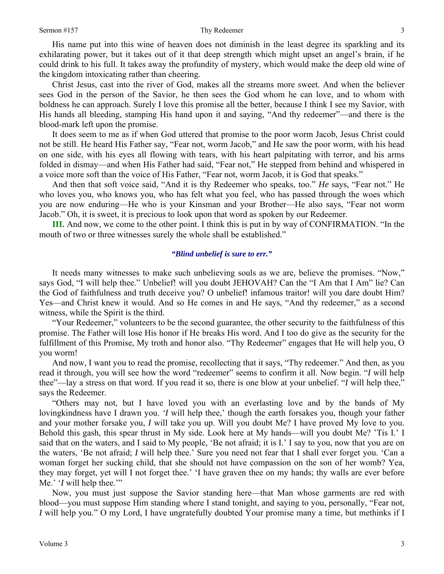#### Sermon #157 Thy Redeemer

His name put into this wine of heaven does not diminish in the least degree its sparkling and its exhilarating power, but it takes out of it that deep strength which might upset an angel's brain, if he could drink to his full. It takes away the profundity of mystery, which would make the deep old wine of the kingdom intoxicating rather than cheering.

Christ Jesus, cast into the river of God, makes all the streams more sweet. And when the believer sees God in the person of the Savior, he then sees the God whom he can love, and to whom with boldness he can approach. Surely I love this promise all the better, because I think I see my Savior, with His hands all bleeding, stamping His hand upon it and saying, "And thy redeemer"—and there is the blood-mark left upon the promise.

It does seem to me as if when God uttered that promise to the poor worm Jacob, Jesus Christ could not be still. He heard His Father say, "Fear not, worm Jacob," and He saw the poor worm, with his head on one side, with his eyes all flowing with tears, with his heart palpitating with terror, and his arms folded in dismay—and when His Father had said, "Fear not," He stepped from behind and whispered in a voice more soft than the voice of His Father, "Fear not, worm Jacob, it is God that speaks."

And then that soft voice said, "And it is thy Redeemer who speaks, too." *He* says, "Fear not." He who loves you, who knows you, who has felt what you feel, who has passed through the woes which you are now enduring—He who is your Kinsman and your Brother—He also says, "Fear not worm Jacob." Oh, it is sweet, it is precious to look upon that word as spoken by our Redeemer.

**III.** And now, we come to the other point. I think this is put in by way of CONFIRMATION. "In the mouth of two or three witnesses surely the whole shall be established."

### *"Blind unbelief is sure to err."*

It needs many witnesses to make such unbelieving souls as we are, believe the promises. "Now," says God, "I will help thee." Unbelief! will you doubt JEHOVAH? Can the "I Am that I Am" lie? Can the God of faithfulness and truth deceive you? O unbelief! infamous traitor! will you dare doubt Him? Yes—and Christ knew it would. And so He comes in and He says, "And thy redeemer," as a second witness, while the Spirit is the third.

"Your Redeemer," volunteers to be the second guarantee, the other security to the faithfulness of this promise. The Father will lose His honor if He breaks His word. And I too do give as the security for the fulfillment of this Promise, My troth and honor also. "Thy Redeemer" engages that He will help you, O you worm!

And now, I want you to read the promise, recollecting that it says, "Thy redeemer." And then, as you read it through, you will see how the word "redeemer" seems to confirm it all. Now begin. "*I* will help thee"—lay a stress on that word. If you read it so, there is one blow at your unbelief. "*I* will help thee," says the Redeemer.

"Others may not, but I have loved you with an everlasting love and by the bands of My lovingkindness have I drawn you. *'I* will help thee,' though the earth forsakes you, though your father and your mother forsake you, *I* will take you up. Will you doubt Me? I have proved My love to you. Behold this gash, this spear thrust in My side. Look here at My hands—will you doubt Me? 'Tis I.' I said that on the waters, and I said to My people, 'Be not afraid; it is I.' I say to you, now that you are on the waters, 'Be not afraid; *I* will help thee.' Sure you need not fear that I shall ever forget you. 'Can a woman forget her sucking child, that she should not have compassion on the son of her womb? Yea, they may forget, yet will I not forget thee.' 'I have graven thee on my hands; thy walls are ever before Me.' '*I* will help thee.'"

Now, you must just suppose the Savior standing here—that Man whose garments are red with blood—you must suppose Him standing where I stand tonight, and saying to you, personally, "Fear not, *I* will help you." O my Lord, I have ungratefully doubted Your promise many a time, but methinks if I

3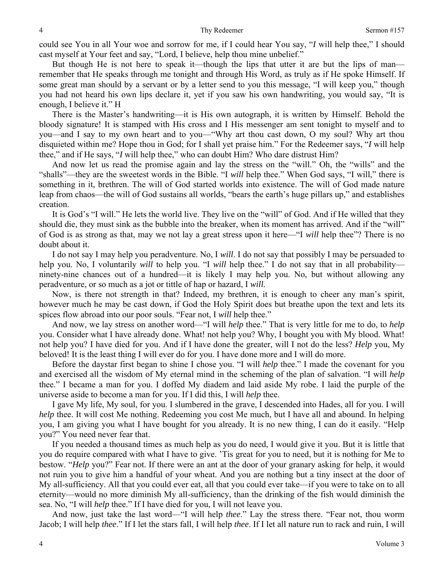could see You in all Your woe and sorrow for me, if I could hear You say, "*I* will help thee," I should cast myself at Your feet and say, "Lord, I believe, help thou mine unbelief."

But though He is not here to speak it—though the lips that utter it are but the lips of man remember that He speaks through me tonight and through His Word, as truly as if He spoke Himself. If some great man should by a servant or by a letter send to you this message, "I will keep you," though you had not heard his own lips declare it, yet if you saw his own handwriting, you would say, "It is enough, I believe it." H

There is the Master's handwriting—it is His own autograph, it is written by Himself. Behold the bloody signature! It is stamped with His cross and I His messenger am sent tonight to myself and to you—and I say to my own heart and to you—"Why art thou cast down, O my soul? Why art thou disquieted within me? Hope thou in God; for I shall yet praise him." For the Redeemer says, "*I* will help thee," and if He says, "*I* will help thee," who can doubt Him? Who dare distrust Him?

And now let us read the promise again and lay the stress on the "will." Oh, the "wills" and the "shalls"—they are the sweetest words in the Bible. "I *will* help thee." When God says, "I will," there is something in it, brethren. The will of God started worlds into existence. The will of God made nature leap from chaos—the will of God sustains all worlds, "bears the earth's huge pillars up," and establishes creation.

It is God's "I will." He lets the world live. They live on the "will" of God. And if He willed that they should die, they must sink as the bubble into the breaker, when its moment has arrived. And if the "will" of God is as strong as that, may we not lay a great stress upon it here—"I *will* help thee"? There is no doubt about it.

I do not say I may help you peradventure. No, I *will*. I do not say that possibly I may be persuaded to help you. No, I voluntarily *will* to help you. "I *will* help thee." I do not say that in all probability ninety-nine chances out of a hundred—it is likely I may help you. No, but without allowing any peradventure, or so much as a jot or tittle of hap or hazard, I *will.*

Now, is there not strength in that? Indeed, my brethren, it is enough to cheer any man's spirit, however much he may be cast down, if God the Holy Spirit does but breathe upon the text and lets its spices flow abroad into our poor souls. "Fear not, I *will* help thee."

And now, we lay stress on another word—"I will *help* thee." That is very little for me to do, to *help*  you. Consider what I have already done. What! not help you? Why, I bought you with My blood. What! not help you? I have died for you. And if I have done the greater, will I not do the less? *Help* you, My beloved! It is the least thing I will ever do for you. I have done more and I will do more.

Before the daystar first began to shine I chose you. "I will *help* thee." I made the covenant for you and exercised all the wisdom of My eternal mind in the scheming of the plan of salvation. "I will *help* thee." I became a man for you. I doffed My diadem and laid aside My robe. I laid the purple of the universe aside to become a man for you. If I did this, I will *help* thee.

I gave My life, My soul, for you. I slumbered in the grave, I descended into Hades, all for you. I will *help* thee. It will cost Me nothing. Redeeming you cost Me much, but I have all and abound. In helping you, I am giving you what I have bought for you already. It is no new thing, I can do it easily. "Help you?" You need never fear that.

If you needed a thousand times as much help as you do need, I would give it you. But it is little that you do require compared with what I have to give. 'Tis great for you to need, but it is nothing for Me to bestow. "*Help* you?" Fear not. If there were an ant at the door of your granary asking for help, it would not ruin you to give him a handful of your wheat. And you are nothing but a tiny insect at the door of My all-sufficiency. All that you could ever eat, all that you could ever take—if you were to take on to all eternity—would no more diminish My all-sufficiency, than the drinking of the fish would diminish the sea. No, "I will *help* thee." If I have died for you, I will not leave you.

And now, just take the last word—"I will help *thee*." Lay the stress there. "Fear not, thou worm Jacob; I will help *thee*." If I let the stars fall, I will help *thee*. If I let all nature run to rack and ruin, I will

4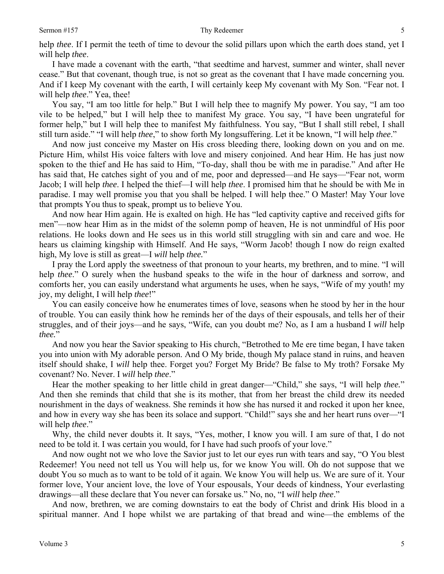### Sermon #157 Thy Redeemer

help *thee*. If I permit the teeth of time to devour the solid pillars upon which the earth does stand, yet I will help *thee*.

I have made a covenant with the earth, "that seedtime and harvest, summer and winter, shall never cease." But that covenant, though true, is not so great as the covenant that I have made concerning you*.* And if I keep My covenant with the earth, I will certainly keep My covenant with My Son. "Fear not. I will help *thee*." Yea, thee!

You say, "I am too little for help." But I will help thee to magnify My power. You say, "I am too vile to be helped," but I will help thee to manifest My grace. You say, "I have been ungrateful for former help," but I will help thee to manifest My faithfulness. You say, "But I shall still rebel, I shall still turn aside." "I will help *thee*," to show forth My longsuffering. Let it be known, "I will help *thee*."

And now just conceive my Master on His cross bleeding there, looking down on you and on me. Picture Him, whilst His voice falters with love and misery conjoined. And hear Him. He has just now spoken to the thief and He has said to Him, "To-day, shall thou be with me in paradise." And after He has said that, He catches sight of you and of me, poor and depressed—and He says—"Fear not, worm Jacob; I will help *thee*. I helped the thief—I will help *thee*. I promised him that he should be with Me in paradise. I may well promise you that you shall be helped. I will help thee." O Master! May Your love that prompts You thus to speak, prompt us to believe You.

And now hear Him again. He is exalted on high. He has "led captivity captive and received gifts for men"—now hear Him as in the midst of the solemn pomp of heaven, He is not unmindful of His poor relations. He looks down and He sees us in this world still struggling with sin and care and woe. He hears us claiming kingship with Himself. And He says, "Worm Jacob! though I now do reign exalted high, My love is still as great—I *will* help *thee.*"

I pray the Lord apply the sweetness of that pronoun to your hearts, my brethren, and to mine. "I will help *thee*." O surely when the husband speaks to the wife in the hour of darkness and sorrow, and comforts her, you can easily understand what arguments he uses, when he says, "Wife of my youth! my joy, my delight, I will help *thee*!"

You can easily conceive how he enumerates times of love, seasons when he stood by her in the hour of trouble. You can easily think how he reminds her of the days of their espousals, and tells her of their struggles, and of their joys—and he says, "Wife, can you doubt me? No, as I am a husband I *will* help *thee.*"

And now you hear the Savior speaking to His church, "Betrothed to Me ere time began, I have taken you into union with My adorable person. And O My bride, though My palace stand in ruins, and heaven itself should shake, I *will* help thee. Forget you? Forget My Bride? Be false to My troth? Forsake My covenant? No. Never. I *will* help *thee*."

Hear the mother speaking to her little child in great danger—"Child," she says, "I will help *thee.*" And then she reminds that child that she is its mother, that from her breast the child drew its needed nourishment in the days of weakness. She reminds it how she has nursed it and rocked it upon her knee, and how in every way she has been its solace and support. "Child!" says she and her heart runs over—"I will help *thee*."

Why, the child never doubts it. It says, "Yes, mother, I know you will. I am sure of that, I do not need to be told it. I was certain you would, for I have had such proofs of your love."

And now ought not we who love the Savior just to let our eyes run with tears and say, "O You blest Redeemer! You need not tell us You will help us, for we know You will. Oh do not suppose that we doubt You so much as to want to be told of it again. We know You will help us. We are sure of it. Your former love, Your ancient love, the love of Your espousals, Your deeds of kindness, Your everlasting drawings—all these declare that You never can forsake us." No, no, "I *will* help *thee*."

And now, brethren, we are coming downstairs to eat the body of Christ and drink His blood in a spiritual manner. And I hope whilst we are partaking of that bread and wine—the emblems of the